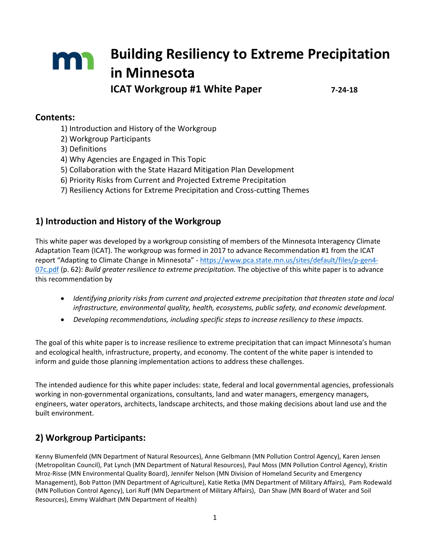# **Building Resiliency to Extreme Precipitation** m **in Minnesota ICAT Workgroup #1 White Paper 7-24-18**

### **Contents:**

- 1) Introduction and History of the Workgroup
- 2) Workgroup Participants
- 3) Definitions
- 4) Why Agencies are Engaged in This Topic
- 5) Collaboration with the State Hazard Mitigation Plan Development
- 6) Priority Risks from Current and Projected Extreme Precipitation
- 7) Resiliency Actions for Extreme Precipitation and Cross-cutting Themes

## **1) Introduction and History of the Workgroup**

This white paper was developed by a workgroup consisting of members of the Minnesota Interagency Climate Adaptation Team (ICAT). The workgroup was formed in 2017 to advance Recommendation #1 from the ICAT report "Adapting to Climate Change in Minnesota" - [https://www.pca.state.mn.us/sites/default/files/p-gen4-](https://www.pca.state.mn.us/sites/default/files/p-gen4-07c.pdf) [07c.pdf](https://www.pca.state.mn.us/sites/default/files/p-gen4-07c.pdf) (p. 62): *Build greater resilience to extreme precipitation*. The objective of this white paper is to advance this recommendation by

- *Identifying priority risks from current and projected extreme precipitation that threaten state and local infrastructure, environmental quality, health, ecosystems, public safety, and economic development.*
- *Developing recommendations, including specific steps to increase resiliency to these impacts.*

The goal of this white paper is to increase resilience to extreme precipitation that can impact Minnesota's human and ecological health, infrastructure, property, and economy. The content of the white paper is intended to inform and guide those planning implementation actions to address these challenges.

The intended audience for this white paper includes: state, federal and local governmental agencies, professionals working in non-governmental organizations, consultants, land and water managers, emergency managers, engineers, water operators, architects, landscape architects, and those making decisions about land use and the built environment.

## **2) Workgroup Participants:**

Kenny Blumenfeld (MN Department of Natural Resources), Anne Gelbmann (MN Pollution Control Agency), Karen Jensen (Metropolitan Council), Pat Lynch (MN Department of Natural Resources), Paul Moss (MN Pollution Control Agency), Kristin Mroz-Risse (MN Environmental Quality Board), Jennifer Nelson (MN Division of Homeland Security and Emergency Management), Bob Patton (MN Department of Agriculture), Katie Retka (MN Department of Military Affairs), Pam Rodewald (MN Pollution Control Agency), Lori Ruff (MN Department of Military Affairs), Dan Shaw (MN Board of Water and Soil Resources), Emmy Waldhart (MN Department of Health)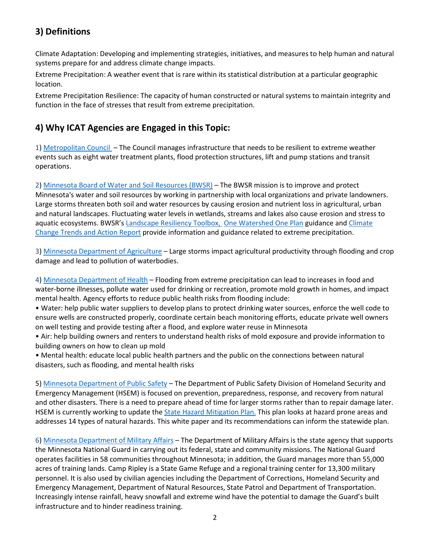## **3) Definitions**

Climate Adaptation: Developing and implementing strategies, initiatives, and measures to help human and natural systems prepare for and address climate change impacts.

Extreme Precipitation: A weather event that is rare within its statistical distribution at a particular geographic location.

Extreme Precipitation Resilience: The capacity of human constructed or natural systems to maintain integrity and function in the face of stresses that result from extreme precipitation.

## **4) Why ICAT Agencies are Engaged in this Topic:**

1) [Metropolitan Council –](http://www.dnr.state.mn.us/waters/watermgmt_section/floodplain/index.html) The Council manages infrastructure that needs to be resilient to extreme weather events such as eight water treatment plants, flood protection structures, lift and pump stations and transit operations.

2) [Minnesota Board of Water and Soil Resources](http://www.bwsr.state.mn.us/practices/climate_change/index.html) (BWSR) - The BWSR mission is to improve and protect Minnesota's water and soil resources by working in partnership with local organizations and private landowners. Large storms threaten both soil and water resources by causing erosion and nutrient loss in agricultural, urban and natural landscapes. Fluctuating water levels in wetlands, streams and lakes also cause erosion and stress to aquatic ecosystems. BWSR's [Landscape Resiliency Toolbox,](http://www.bwsr.state.mn.us/practices/climate_change/index.html) [One Watershed One Plan](http://bwsr.state.mn.us/planning/1W1P/index.html) guidance and Climate [Change Trends and Action Report](http://www.bwsr.state.mn.us/native_vegetation/BWSR_Climate_Change.pdf) provide information and guidance related to extreme precipitation.

3) [Minnesota Department of Agriculture](http://www.mda.state.mn.us/about/divisions/amd.aspx) – Large storms impact agricultural productivity through flooding and crop damage and lead to pollution of waterbodies.

4) [Minnesota Department of Health](http://www.dnr.state.mn.us/waters/watermgmt_section/floodplain/index.html) – Flooding from extreme precipitation can lead to increases in food and water-borne illnesses, pollute water used for drinking or recreation, promote mold growth in homes, and impact mental health. Agency efforts to reduce public health risks from flooding include:

• Water: help public water suppliers to develop plans to protect drinking water sources, enforce the well code to ensure wells are constructed properly, coordinate certain beach monitoring efforts, educate private well owners on well testing and provide testing after a flood, and explore water reuse in Minnesota

• Air: help building owners and renters to understand health risks of mold exposure and provide information to building owners on how to clean up mold

• Mental health: educate local public health partners and the public on the connections between natural disasters, such as flooding, and mental health risks

5) [Minnesota Department of Public Safety](https://dps.mn.gov/Pages/default.aspx) – The Department of Public Safety Division of Homeland Security and Emergency Management (HSEM) is focused on prevention, preparedness, response, and recovery from natural and other disasters. There is a need to prepare ahead of time for larger storms rather than to repair damage later. HSEM is currently working to update the [State Hazard Mitigation Plan.](https://dps.mn.gov/divisions/hsem/hazard-mitigation/Pages/state-hazard-mitigation-plan.aspx) This plan looks at hazard prone areas and addresses 14 types of natural hazards. This white paper and its recommendations can inform the statewide plan.

6) [Minnesota Department of Military Affairs](http://www.minnesotanationalguard.org/camp_ripley/environment/index.php) – The Department of Military Affairs is the state agency that supports the Minnesota National Guard in carrying out its federal, state and community missions. The National Guard operates facilities in 58 communities throughout Minnesota; in addition, the Guard manages more than 55,000 acres of training lands. Camp Ripley is a State Game Refuge and a regional training center for 13,300 military personnel. It is also used by civilian agencies including the Department of Corrections, Homeland Security and Emergency Management, Department of Natural Resources, State Patrol and Department of Transportation. Increasingly intense rainfall, heavy snowfall and extreme wind have the potential to damage the Guard's built infrastructure and to hinder readiness training.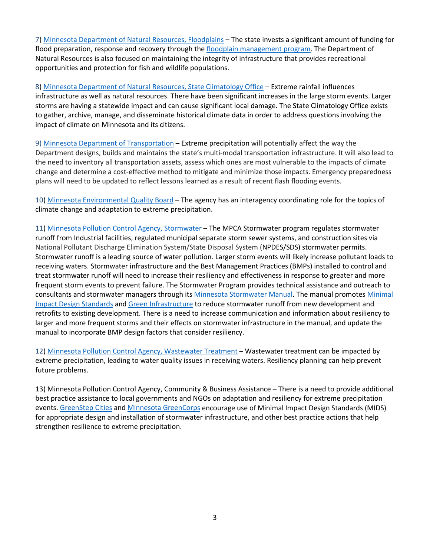7) [Minnesota Department of Natural Resources, Floodplains](http://www.dnr.state.mn.us/waters/watermgmt_section/floodplain/index.html) – The state invests a significant amount of funding for flood preparation, response and recovery through the [floodplain management program.](http://www.dnr.state.mn.us/climate/floods/index.html) The Department of Natural Resources is also focused on maintaining the integrity of infrastructure that provides recreational opportunities and protection for fish and wildlife populations.

8) [Minnesota Department of Natural Resources,](http://climateapps.dnr.state.mn.us/index.htm) State Climatology Office – Extreme rainfall influences infrastructure as well as natural resources. There have been significant increases in the large storm events. Larger storms are having a statewide impact and can cause significant local damage. The State Climatology Office exists to gather, archive, manage, and disseminate historical climate data in order to address questions involving the impact of climate on Minnesota and its citizens.

9) [Minnesota Department of Transportation](http://www.dnr.state.mn.us/climate/about_us.html) – Extreme precipitation will potentially affect the way the Department designs, builds and maintains the state's multi-modal transportation infrastructure. It will also lead to the need to inventory all transportation assets, assess which ones are most vulnerable to the impacts of climate change and determine a cost-effective method to mitigate and minimize those impacts. Emergency preparedness plans will need to be updated to reflect lessons learned as a result of recent flash flooding events.

10) [Minnesota Environmental Quality Board](https://www.eqb.state.mn.us/) – The agency has an interagency coordinating role for the topics of climate change and adaptation to extreme precipitation.

11[\) Minnesota Pollution Control Agency, Stormwater](https://www.pca.state.mn.us/water/stormwater) – The MPCA Stormwater program regulates stormwater runoff from Industrial facilities, regulated municipal separate storm sewer systems, and construction sites via National Pollutant Discharge Elimination System/State Disposal System (NPDES/SDS) stormwater permits. Stormwater runoff is a leading source of water pollution. Larger storm events will likely increase pollutant loads to receiving waters. Stormwater infrastructure and the Best Management Practices (BMPs) installed to control and treat stormwater runoff will need to increase their resiliency and effectiveness in response to greater and more frequent storm events to prevent failure. The Stormwater Program provides technical assistance and outreach to consultants and stormwater managers through it[s Minnesota Stormwater Manual.](https://stormwater.pca.state.mn.us/index.php?title=About_the_Minnesota_Stormwater_Manual) The manual promotes [Minimal](https://stormwater.pca.state.mn.us/index.php?title=Minimal_Impact_Design_Standards)  [Impact Design Standards](https://stormwater.pca.state.mn.us/index.php?title=Minimal_Impact_Design_Standards) and [Green Infrastructure](https://stormwater.pca.state.mn.us/index.php?title=Green_Infrastructure_for_stormwater_management) to reduce stormwater runoff from new development and retrofits to existing development. There is a need to increase communication and information about resiliency to larger and more frequent storms and their effects on stormwater infrastructure in the manual, and update the manual to incorporate BMP design factors that consider resiliency.

12) [Minnesota Pollution Control Agency, Wastewater Treatment](https://www.pca.state.mn.us/water/wastewater) – Wastewater treatment can be impacted by extreme precipitation, leading to water quality issues in receiving waters. Resiliency planning can help prevent future problems.

13) Minnesota Pollution Control Agency, Community & Business Assistance – There is a need to provide additional best practice assistance to local governments and NGOs on adaptation and resiliency for extreme precipitation events. [GreenStep Cities](http://www.mngreenstep.org/) an[d Minnesota GreenCorps](https://www.pca.state.mn.us/waste/minnesota-greencorps) encourage use of Minimal Impact Design Standards (MIDS) for appropriate design and installation of stormwater infrastructure, and other best practice actions that help strengthen resilience to extreme precipitation.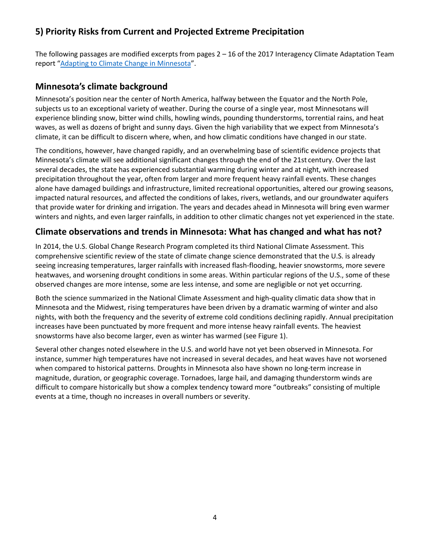## **5) Priority Risks from Current and Projected Extreme Precipitation**

The following passages are modified excerpts from pages 2 – 16 of the 2017 Interagency Climate Adaptation Team report ["Adapting to Climate Change in Minnesota"](https://www.pca.state.mn.us/sites/default/files/p-gen4-07c.pdf).

## **Minnesota's climate background**

Minnesota's position near the center of North America, halfway between the Equator and the North Pole, subjects us to an exceptional variety of weather. During the course of a single year, most Minnesotans will experience blinding snow, bitter wind chills, howling winds, pounding thunderstorms, torrential rains, and heat waves, as well as dozens of bright and sunny days. Given the high variability that we expect from Minnesota's climate, it can be difficult to discern where, when, and how climatic conditions have changed in our state.

The conditions, however, have changed rapidly, and an overwhelming base of scientific evidence projects that Minnesota's climate will see additional significant changes through the end of the 21st century. Over the last several decades, the state has experienced substantial warming during winter and at night, with increased precipitation throughout the year, often from larger and more frequent heavy rainfall events. These changes alone have damaged buildings and infrastructure, limited recreational opportunities, altered our growing seasons, impacted natural resources, and affected the conditions of lakes, rivers, wetlands, and our groundwater aquifers that provide water for drinking and irrigation. The years and decades ahead in Minnesota will bring even warmer winters and nights, and even larger rainfalls, in addition to other climatic changes not yet experienced in the state.

## **Climate observations and trends in Minnesota: What has changed and what has not?**

In 2014, the U.S. Global Change Research Program completed its third National Climate Assessment. This comprehensive scientific review of the state of climate change science demonstrated that the U.S. is already seeing increasing temperatures, larger rainfalls with increased flash-flooding, heavier snowstorms, more severe heatwaves, and worsening drought conditions in some areas. Within particular regions of the U.S., some of these observed changes are more intense, some are less intense, and some are negligible or not yet occurring.

Both the science summarized in the National Climate Assessment and high-quality climatic data show that in Minnesota and the Midwest, rising temperatures have been driven by a dramatic warming of winter and also nights, with both the frequency and the severity of extreme cold conditions declining rapidly. Annual precipitation increases have been punctuated by more frequent and more intense heavy rainfall events. The heaviest snowstorms have also become larger, even as winter has warmed (see Figure 1).

Several other changes noted elsewhere in the U.S. and world have not yet been observed in Minnesota. For instance, summer high temperatures have not increased in several decades, and heat waves have not worsened when compared to historical patterns. Droughts in Minnesota also have shown no long-term increase in magnitude, duration, or geographic coverage. Tornadoes, large hail, and damaging thunderstorm winds are difficult to compare historically but show a complex tendency toward more "outbreaks" consisting of multiple events at a time, though no increases in overall numbers or severity.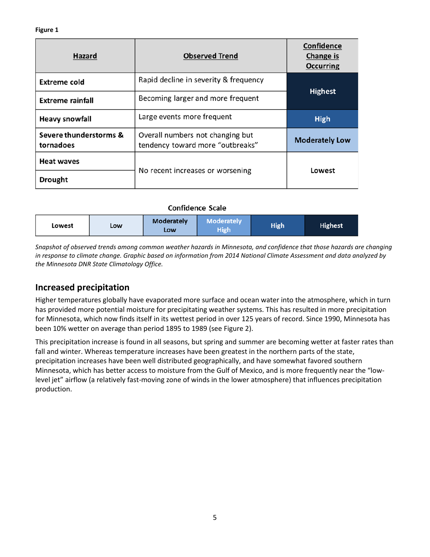| <b>Hazard</b>                       | <b>Observed Trend</b>                                                | <b>Confidence</b><br>Change is<br><b>Occurring</b> |  |  |
|-------------------------------------|----------------------------------------------------------------------|----------------------------------------------------|--|--|
| Extreme cold                        | Rapid decline in severity & frequency                                |                                                    |  |  |
| <b>Extreme rainfall</b>             | <b>Highest</b>                                                       |                                                    |  |  |
| <b>Heavy snowfall</b>               | <b>High</b>                                                          |                                                    |  |  |
| Severe thunderstorms &<br>tornadoes | Overall numbers not changing but<br>tendency toward more "outbreaks" | <b>Moderately Low</b>                              |  |  |
| <b>Heat waves</b>                   |                                                                      | Lowest                                             |  |  |
| <b>Drought</b>                      | No recent increases or worsening                                     |                                                    |  |  |

#### **Confidence Scale**

| Lowest | LOW | <b>Moderately</b><br><b>LOW</b> | <b>Moderately</b><br>High | <b>High</b> | <b>Highest</b> |
|--------|-----|---------------------------------|---------------------------|-------------|----------------|
|--------|-----|---------------------------------|---------------------------|-------------|----------------|

*Snapshot of observed trends among common weather hazards in Minnesota, and confidence that those hazards are changing in response to climate change. Graphic based on information from 2014 National Climate Assessment and data analyzed by the Minnesota DNR State Climatology Office.* 

### **Increased precipitation**

Higher temperatures globally have evaporated more surface and ocean water into the atmosphere, which in turn has provided more potential moisture for precipitating weather systems. This has resulted in more precipitation for Minnesota, which now finds itself in its wettest period in over 125 years of record. Since 1990, Minnesota has been 10% wetter on average than period 1895 to 1989 (see Figure 2).

This precipitation increase is found in all seasons, but spring and summer are becoming wetter at faster rates than fall and winter. Whereas temperature increases have been greatest in the northern parts of the state, precipitation increases have been well distributed geographically, and have somewhat favored southern Minnesota, which has better access to moisture from the Gulf of Mexico, and is more frequently near the "lowlevel jet" airflow (a relatively fast-moving zone of winds in the lower atmosphere) that influences precipitation production.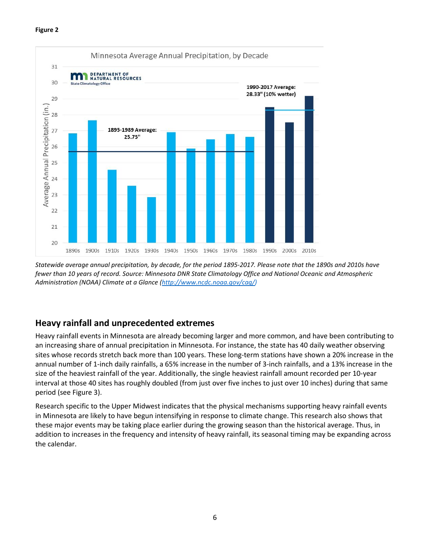

*Statewide average annual precipitation, by decade, for the period 1895-2017. Please note that the 1890s and 2010s have fewer than 10 years of record. Source: Minnesota DNR State Climatology Office and National Oceanic and Atmospheric Administration (NOAA) Climate at a Glance [\(http://www.ncdc.noaa.gov/cag/\)](http://www.ncdc.noaa.gov/cag/))*

## **Heavy rainfall and unprecedented extremes**

Heavy rainfall events in Minnesota are already becoming larger and more common, and have been contributing to an increasing share of annual precipitation in Minnesota. For instance, the state has 40 daily weather observing sites whose records stretch back more than 100 years. These long-term stations have shown a 20% increase in the annual number of 1-inch daily rainfalls, a 65% increase in the number of 3-inch rainfalls, and a 13% increase in the size of the heaviest rainfall of the year. Additionally, the single heaviest rainfall amount recorded per 10-year interval at those 40 sites has roughly doubled (from just over five inches to just over 10 inches) during that same period (see Figure 3).

Research specific to the Upper Midwest indicates that the physical mechanisms supporting heavy rainfall events in Minnesota are likely to have begun intensifying in response to climate change. This research also shows that these major events may be taking place earlier during the growing season than the historical average. Thus, in addition to increases in the frequency and intensity of heavy rainfall, its seasonal timing may be expanding across the calendar.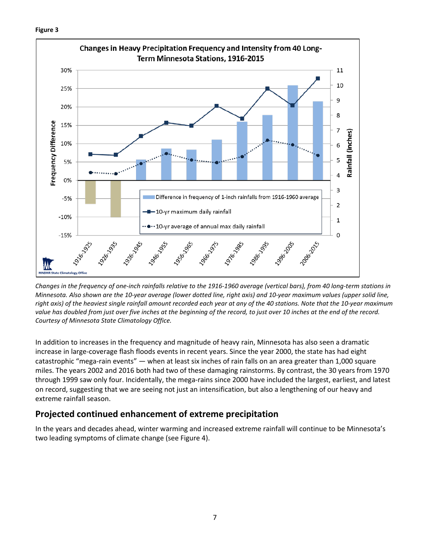

*Changes in the frequency of one-inch rainfalls relative to the 1916-1960 average (vertical bars), from 40 long-term stations in Minnesota. Also shown are the 10-year average (lower dotted line, right axis) and 10-year maximum values (upper solid line, right axis) of the heaviest single rainfall amount recorded each year at any of the 40 stations. Note that the 10-year maximum value has doubled from just over five inches at the beginning of the record, to just over 10 inches at the end of the record. Courtesy of Minnesota State Climatology Office.* 

In addition to increases in the frequency and magnitude of heavy rain, Minnesota has also seen a dramatic increase in large-coverage flash floods events in recent years. Since the year 2000, the state has had eight catastrophic "mega-rain events" — when at least six inches of rain falls on an area greater than 1,000 square miles. The years 2002 and 2016 both had two of these damaging rainstorms. By contrast, the 30 years from 1970 through 1999 saw only four. Incidentally, the mega-rains since 2000 have included the largest, earliest, and latest on record, suggesting that we are seeing not just an intensification, but also a lengthening of our heavy and extreme rainfall season.

### **Projected continued enhancement of extreme precipitation**

In the years and decades ahead, winter warming and increased extreme rainfall will continue to be Minnesota's two leading symptoms of climate change (see Figure 4).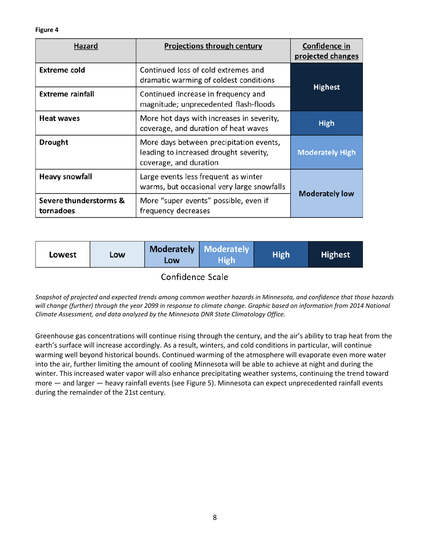**Figure 4**

| <b>Hazard</b>                       | <b>Projections through century</b>                                                                          | Confidence in<br>projected changes |  |  |  |  |
|-------------------------------------|-------------------------------------------------------------------------------------------------------------|------------------------------------|--|--|--|--|
| Extreme cold                        | Continued loss of cold extremes and<br>dramatic warming of coldest conditions                               | <b>Highest</b>                     |  |  |  |  |
| <b>Extreme rainfall</b>             | Continued increase in frequency and<br>magnitude; unprecedented flash-floods                                |                                    |  |  |  |  |
| <b>Heat waves</b>                   | More hot days with increases in severity,<br>coverage, and duration of heat waves                           | <b>High</b>                        |  |  |  |  |
| <b>Drought</b>                      | More days between precipitation events,<br>leading to increased drought severity,<br>coverage, and duration | <b>Moderately High</b>             |  |  |  |  |
| <b>Heavy snowfall</b>               | Large events less frequent as winter<br>warms, but occasional very large snowfalls                          |                                    |  |  |  |  |
| Severe thunderstorms &<br>tornadoes | More "super events" possible, even if<br>frequency decreases                                                | <b>Moderately low</b>              |  |  |  |  |

| Lowest | LOW | Low | Moderately   Moderately<br><b>High</b> | <b>High</b> | <b>Highest</b> |
|--------|-----|-----|----------------------------------------|-------------|----------------|
|        |     |     |                                        |             |                |

Confidence Scale

*Snapshot of projected and expected trends among common weather hazards in Minnesota, and confidence that those hazards will change (further) through the year 2099 in response to climate change. Graphic based on information from 2014 National Climate Assessment, and data analyzed by the Minnesota DNR State Climatology Office.*

Greenhouse gas concentrations will continue rising through the century, and the air's ability to trap heat from the earth's surface will increase accordingly. As a result, winters, and cold conditions in particular, will continue warming well beyond historical bounds. Continued warming of the atmosphere will evaporate even more water into the air, further limiting the amount of cooling Minnesota will be able to achieve at night and during the winter. This increased water vapor will also enhance precipitating weather systems, continuing the trend toward more — and larger — heavy rainfall events (see Figure 5). Minnesota can expect unprecedented rainfall events during the remainder of the 21st century.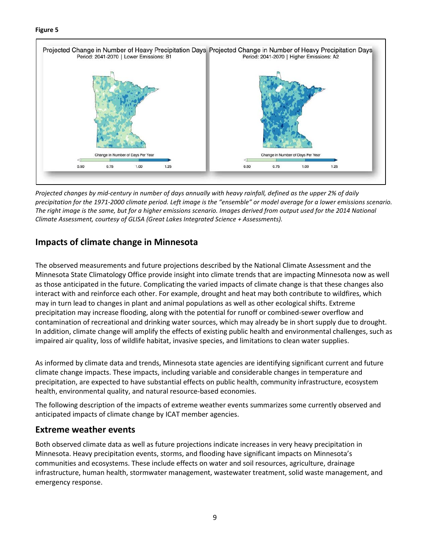#### **Figure 5**



*Projected changes by mid-century in number of days annually with heavy rainfall, defined as the upper 2% of daily precipitation for the 1971-2000 climate period. Left image is the "ensemble" or model average for a lower emissions scenario. The right image is the same, but for a higher emissions scenario. Images derived from output used for the 2014 National Climate Assessment, courtesy of GLISA (Great Lakes Integrated Science + Assessments).*

## **Impacts of climate change in Minnesota**

The observed measurements and future projections described by the National Climate Assessment and the Minnesota State Climatology Office provide insight into climate trends that are impacting Minnesota now as well as those anticipated in the future. Complicating the varied impacts of climate change is that these changes also interact with and reinforce each other. For example, drought and heat may both contribute to wildfires, which may in turn lead to changes in plant and animal populations as well as other ecological shifts. Extreme precipitation may increase flooding, along with the potential for runoff or combined-sewer overflow and contamination of recreational and drinking water sources, which may already be in short supply due to drought. In addition, climate change will amplify the effects of existing public health and environmental challenges, such as impaired air quality, loss of wildlife habitat, invasive species, and limitations to clean water supplies.

As informed by climate data and trends, Minnesota state agencies are identifying significant current and future climate change impacts. These impacts, including variable and considerable changes in temperature and precipitation, are expected to have substantial effects on public health, community infrastructure, ecosystem health, environmental quality, and natural resource-based economies.

The following description of the impacts of extreme weather events summarizes some currently observed and anticipated impacts of climate change by ICAT member agencies.

### **Extreme weather events**

Both observed climate data as well as future projections indicate increases in very heavy precipitation in Minnesota. Heavy precipitation events, storms, and flooding have significant impacts on Minnesota's communities and ecosystems. These include effects on water and soil resources, agriculture, drainage infrastructure, human health, stormwater management, wastewater treatment, solid waste management, and emergency response.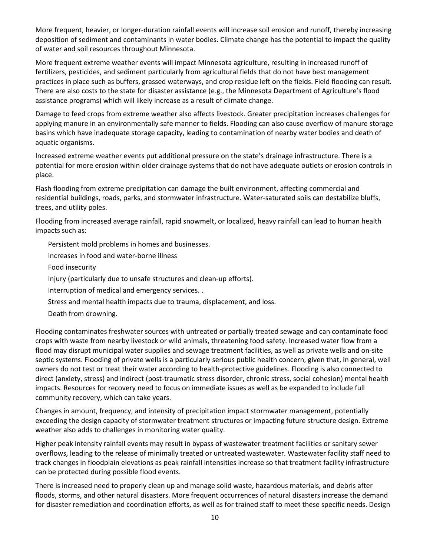More frequent, heavier, or longer-duration rainfall events will increase soil erosion and runoff, thereby increasing deposition of sediment and contaminants in water bodies. Climate change has the potential to impact the quality of water and soil resources throughout Minnesota.

More frequent extreme weather events will impact Minnesota agriculture, resulting in increased runoff of fertilizers, pesticides, and sediment particularly from agricultural fields that do not have best management practices in place such as buffers, grassed waterways, and crop residue left on the fields. Field flooding can result. There are also costs to the state for disaster assistance (e.g., the Minnesota Department of Agriculture's flood assistance programs) which will likely increase as a result of climate change.

Damage to feed crops from extreme weather also affects livestock. Greater precipitation increases challenges for applying manure in an environmentally safe manner to fields. Flooding can also cause overflow of manure storage basins which have inadequate storage capacity, leading to contamination of nearby water bodies and death of aquatic organisms.

Increased extreme weather events put additional pressure on the state's drainage infrastructure. There is a potential for more erosion within older drainage systems that do not have adequate outlets or erosion controls in place.

Flash flooding from extreme precipitation can damage the built environment, affecting commercial and residential buildings, roads, parks, and stormwater infrastructure. Water-saturated soils can destabilize bluffs, trees, and utility poles.

Flooding from increased average rainfall, rapid snowmelt, or localized, heavy rainfall can lead to human health impacts such as:

Persistent mold problems in homes and businesses.

Increases in food and water-borne illness

Food insecurity

Injury (particularly due to unsafe structures and clean-up efforts).

Interruption of medical and emergency services. .

Stress and mental health impacts due to trauma, displacement, and loss.

Death from drowning.

Flooding contaminates freshwater sources with untreated or partially treated sewage and can contaminate food crops with waste from nearby livestock or wild animals, threatening food safety. Increased water flow from a flood may disrupt municipal water supplies and sewage treatment facilities, as well as private wells and on-site septic systems. Flooding of private wells is a particularly serious public health concern, given that, in general, well owners do not test or treat their water according to health-protective guidelines. Flooding is also connected to direct (anxiety, stress) and indirect (post-traumatic stress disorder, chronic stress, social cohesion) mental health impacts. Resources for recovery need to focus on immediate issues as well as be expanded to include full community recovery, which can take years.

Changes in amount, frequency, and intensity of precipitation impact stormwater management, potentially exceeding the design capacity of stormwater treatment structures or impacting future structure design. Extreme weather also adds to challenges in monitoring water quality.

Higher peak intensity rainfall events may result in bypass of wastewater treatment facilities or sanitary sewer overflows, leading to the release of minimally treated or untreated wastewater. Wastewater facility staff need to track changes in floodplain elevations as peak rainfall intensities increase so that treatment facility infrastructure can be protected during possible flood events.

There is increased need to properly clean up and manage solid waste, hazardous materials, and debris after floods, storms, and other natural disasters. More frequent occurrences of natural disasters increase the demand for disaster remediation and coordination efforts, as well as for trained staff to meet these specific needs. Design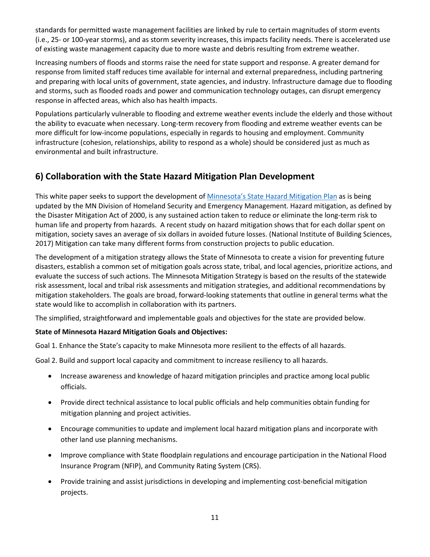standards for permitted waste management facilities are linked by rule to certain magnitudes of storm events (i.e., 25- or 100-year storms), and as storm severity increases, this impacts facility needs. There is accelerated use of existing waste management capacity due to more waste and debris resulting from extreme weather.

Increasing numbers of floods and storms raise the need for state support and response. A greater demand for response from limited staff reduces time available for internal and external preparedness, including partnering and preparing with local units of government, state agencies, and industry. Infrastructure damage due to flooding and storms, such as flooded roads and power and communication technology outages, can disrupt emergency response in affected areas, which also has health impacts.

Populations particularly vulnerable to flooding and extreme weather events include the elderly and those without the ability to evacuate when necessary. Long-term recovery from flooding and extreme weather events can be more difficult for low-income populations, especially in regards to housing and employment. Community infrastructure (cohesion, relationships, ability to respond as a whole) should be considered just as much as environmental and built infrastructure.

## **6) Collaboration with the State Hazard Mitigation Plan Development**

This white paper seeks to support the development of [Minnesota's State Hazard Mitigation Plan](https://dps.mn.gov/divisions/hsem/hazard-mitigation/Pages/default.aspx) as is being updated by the MN Division of Homeland Security and Emergency Management. Hazard mitigation, as defined by the Disaster Mitigation Act of 2000, is any sustained action taken to reduce or eliminate the long-term risk to human life and property from hazards. A recent study on hazard mitigation shows that for each dollar spent on mitigation, society saves an average of six dollars in avoided future losses. (National Institute of Building Sciences, 2017) Mitigation can take many different forms from construction projects to public education.

The development of a mitigation strategy allows the State of Minnesota to create a vision for preventing future disasters, establish a common set of mitigation goals across state, tribal, and local agencies, prioritize actions, and evaluate the success of such actions. The Minnesota Mitigation Strategy is based on the results of the statewide risk assessment, local and tribal risk assessments and mitigation strategies, and additional recommendations by mitigation stakeholders. The goals are broad, forward-looking statements that outline in general terms what the state would like to accomplish in collaboration with its partners.

The simplified, straightforward and implementable goals and objectives for the state are provided below.

#### **State of Minnesota Hazard Mitigation Goals and Objectives:**

Goal 1. Enhance the State's capacity to make Minnesota more resilient to the effects of all hazards.

Goal 2. Build and support local capacity and commitment to increase resiliency to all hazards.

- Increase awareness and knowledge of hazard mitigation principles and practice among local public officials.
- Provide direct technical assistance to local public officials and help communities obtain funding for mitigation planning and project activities.
- Encourage communities to update and implement local hazard mitigation plans and incorporate with other land use planning mechanisms.
- Improve compliance with State floodplain regulations and encourage participation in the National Flood Insurance Program (NFIP), and Community Rating System (CRS).
- Provide training and assist jurisdictions in developing and implementing cost-beneficial mitigation projects.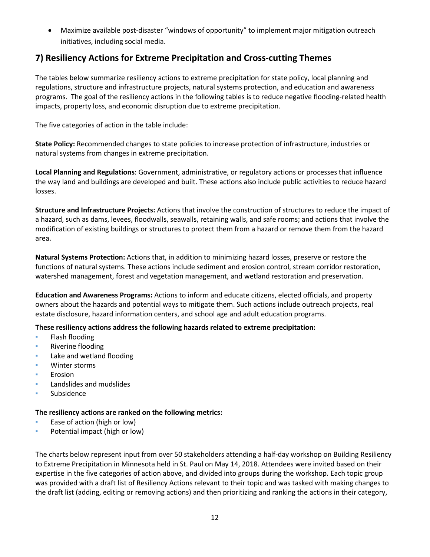• Maximize available post-disaster "windows of opportunity" to implement major mitigation outreach initiatives, including social media.

## **7) Resiliency Actions for Extreme Precipitation and Cross-cutting Themes**

The tables below summarize resiliency actions to extreme precipitation for state policy, local planning and regulations, structure and infrastructure projects, natural systems protection, and education and awareness programs. The goal of the resiliency actions in the following tables is to reduce negative flooding-related health impacts, property loss, and economic disruption due to extreme precipitation.

The five categories of action in the table include:

**State Policy:** Recommended changes to state policies to increase protection of infrastructure, industries or natural systems from changes in extreme precipitation.

**Local Planning and Regulations**: Government, administrative, or regulatory actions or processes that influence the way land and buildings are developed and built. These actions also include public activities to reduce hazard losses.

**Structure and Infrastructure Projects:** Actions that involve the construction of structures to reduce the impact of a hazard, such as dams, levees, floodwalls, seawalls, retaining walls, and safe rooms; and actions that involve the modification of existing buildings or structures to protect them from a hazard or remove them from the hazard area.

**Natural Systems Protection:** Actions that, in addition to minimizing hazard losses, preserve or restore the functions of natural systems. These actions include sediment and erosion control, stream corridor restoration, watershed management, forest and vegetation management, and wetland restoration and preservation.

**Education and Awareness Programs:** Actions to inform and educate citizens, elected officials, and property owners about the hazards and potential ways to mitigate them. Such actions include outreach projects, real estate disclosure, hazard information centers, and school age and adult education programs.

#### **These resiliency actions address the following hazards related to extreme precipitation:**

- Flash flooding
- Riverine flooding
- Lake and wetland flooding
- Winter storms
- **Erosion**
- Landslides and mudslides
- **Subsidence**

#### **The resiliency actions are ranked on the following metrics:**

- Ease of action (high or low)
- **•** Potential impact (high or low)

The charts below represent input from over 50 stakeholders attending a half-day workshop on Building Resiliency to Extreme Precipitation in Minnesota held in St. Paul on May 14, 2018. Attendees were invited based on their expertise in the five categories of action above, and divided into groups during the workshop. Each topic group was provided with a draft list of Resiliency Actions relevant to their topic and was tasked with making changes to the draft list (adding, editing or removing actions) and then prioritizing and ranking the actions in their category,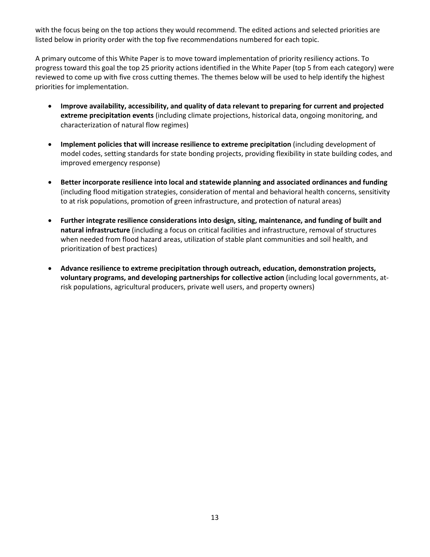with the focus being on the top actions they would recommend. The edited actions and selected priorities are listed below in priority order with the top five recommendations numbered for each topic.

A primary outcome of this White Paper is to move toward implementation of priority resiliency actions. To progress toward this goal the top 25 priority actions identified in the White Paper (top 5 from each category) were reviewed to come up with five cross cutting themes. The themes below will be used to help identify the highest priorities for implementation.

- **Improve availability, accessibility, and quality of data relevant to preparing for current and projected extreme precipitation events** (including climate projections, historical data, ongoing monitoring, and characterization of natural flow regimes)
- **Implement policies that will increase resilience to extreme precipitation** (including development of model codes, setting standards for state bonding projects, providing flexibility in state building codes, and improved emergency response)
- **Better incorporate resilience into local and statewide planning and associated ordinances and funding**  (including flood mitigation strategies, consideration of mental and behavioral health concerns, sensitivity to at risk populations, promotion of green infrastructure, and protection of natural areas)
- **Further integrate resilience considerations into design, siting, maintenance, and funding of built and natural infrastructure** (including a focus on critical facilities and infrastructure, removal of structures when needed from flood hazard areas, utilization of stable plant communities and soil health, and prioritization of best practices)
- **Advance resilience to extreme precipitation through outreach, education, demonstration projects, voluntary programs, and developing partnerships for collective action** (including local governments, atrisk populations, agricultural producers, private well users, and property owners)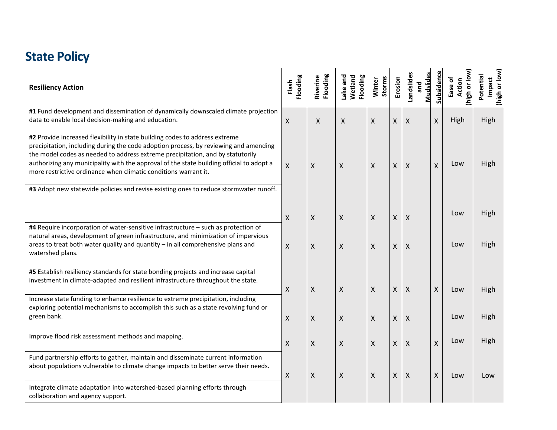# **State Policy**

| <b>Resiliency Action</b>                                                                                                                                                                                                                                                                                                                                                                                             | Flooding<br>Flash | Flooding<br>Riverine | Flooding<br>ake and<br>Wetland | Storms<br>Winter | Erosion      | <b>Mudslides</b><br>Landslides<br>and | Subsidence | Inigh or low<br>Ease of<br><b>Action</b> | (high or low)<br>Potential<br>Impact |
|----------------------------------------------------------------------------------------------------------------------------------------------------------------------------------------------------------------------------------------------------------------------------------------------------------------------------------------------------------------------------------------------------------------------|-------------------|----------------------|--------------------------------|------------------|--------------|---------------------------------------|------------|------------------------------------------|--------------------------------------|
| #1 Fund development and dissemination of dynamically downscaled climate projection<br>data to enable local decision-making and education.                                                                                                                                                                                                                                                                            | Χ                 | X                    | X                              | X                | X            | X                                     | X          | High                                     | High                                 |
| #2 Provide increased flexibility in state building codes to address extreme<br>precipitation, including during the code adoption process, by reviewing and amending<br>the model codes as needed to address extreme precipitation, and by statutorily<br>authorizing any municipality with the approval of the state building official to adopt a<br>more restrictive ordinance when climatic conditions warrant it. | X                 | X                    | X                              | X                | X            | X                                     | X          | Low                                      | High                                 |
| #3 Adopt new statewide policies and revise existing ones to reduce stormwater runoff.                                                                                                                                                                                                                                                                                                                                | X                 | X                    | X                              | X                | X            | X                                     |            | Low                                      | High                                 |
| #4 Require incorporation of water-sensitive infrastructure - such as protection of<br>natural areas, development of green infrastructure, and minimization of impervious<br>areas to treat both water quality and quantity - in all comprehensive plans and<br>watershed plans.                                                                                                                                      | X                 | X                    | X                              | X                | X            | X                                     |            | Low                                      | High                                 |
| #5 Establish resiliency standards for state bonding projects and increase capital<br>investment in climate-adapted and resilient infrastructure throughout the state.                                                                                                                                                                                                                                                | Χ                 | Χ                    | X                              | X                | X            | $\boldsymbol{\mathsf{X}}$             | Χ          | Low                                      | High                                 |
| Increase state funding to enhance resilience to extreme precipitation, including<br>exploring potential mechanisms to accomplish this such as a state revolving fund or<br>green bank.                                                                                                                                                                                                                               | Χ                 | X                    | X                              | $\mathsf{X}$     | X            | $\times$                              |            | Low                                      | High                                 |
| Improve flood risk assessment methods and mapping.                                                                                                                                                                                                                                                                                                                                                                   | X                 | X                    | X                              | X                | $\mathsf{X}$ | X                                     | X          | Low                                      | High                                 |
| Fund partnership efforts to gather, maintain and disseminate current information<br>about populations vulnerable to climate change impacts to better serve their needs.                                                                                                                                                                                                                                              | X                 | X                    | X                              | X                | $\mathsf{X}$ | X                                     | Χ          | Low                                      | Low                                  |
| Integrate climate adaptation into watershed-based planning efforts through<br>collaboration and agency support.                                                                                                                                                                                                                                                                                                      |                   |                      |                                |                  |              |                                       |            |                                          |                                      |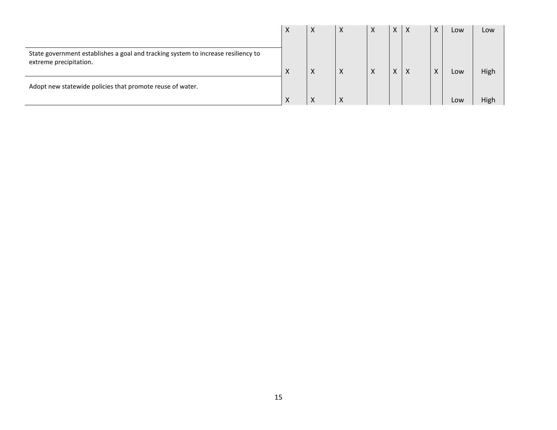|                                                                                                             | X | $\times$  | X | X | X | l X      | $\boldsymbol{\mathsf{X}}$ | Low | Low  |
|-------------------------------------------------------------------------------------------------------------|---|-----------|---|---|---|----------|---------------------------|-----|------|
| State government establishes a goal and tracking system to increase resiliency to<br>extreme precipitation. | X | X         | X | X | X | $\times$ | X                         | Low | High |
| Adopt new statewide policies that promote reuse of water.                                                   |   | $\lambda$ |   |   |   |          |                           | Low | High |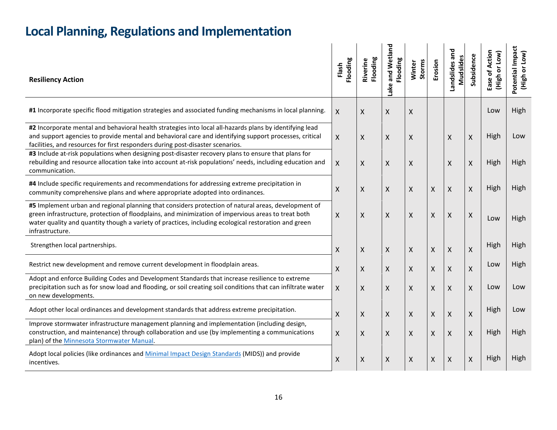| <b>Resiliency Action</b>                                                                                                                                                                                                                                                                                                              | Flooding<br>Flash | Flooding<br>Riverine | land<br>and Wetl<br>Flooding<br>ake | <b>Storms</b><br>Winter | Erosion                   | Landslides and<br>ပ္မိ<br>Mudslid | Subsidence         | Action<br>or Low)<br>፟፟፟፟፟፟<br>(High<br>Ease | Impact<br>or Low)<br>Potential<br>(High |
|---------------------------------------------------------------------------------------------------------------------------------------------------------------------------------------------------------------------------------------------------------------------------------------------------------------------------------------|-------------------|----------------------|-------------------------------------|-------------------------|---------------------------|-----------------------------------|--------------------|----------------------------------------------|-----------------------------------------|
| #1 Incorporate specific flood mitigation strategies and associated funding mechanisms in local planning.                                                                                                                                                                                                                              | X                 | X                    | $\mathsf{X}$                        | X                       |                           |                                   |                    | Low                                          | High                                    |
| #2 Incorporate mental and behavioral health strategies into local all-hazards plans by identifying lead<br>and support agencies to provide mental and behavioral care and identifying support processes, critical<br>facilities, and resources for first responders during post-disaster scenarios.                                   | X                 | X                    | $\mathsf{X}$                        | X                       |                           | X                                 | $\pmb{\chi}$       | High                                         | Low                                     |
| #3 Include at-risk populations when designing post-disaster recovery plans to ensure that plans for<br>rebuilding and resource allocation take into account at-risk populations' needs, including education and<br>communication.                                                                                                     | X                 | X                    | X                                   | X                       |                           | X                                 | X                  | High                                         | High                                    |
| #4 Include specific requirements and recommendations for addressing extreme precipitation in<br>community comprehensive plans and where appropriate adopted into ordinances.                                                                                                                                                          | Χ                 | X                    | X                                   | $\mathsf{X}$            | $\boldsymbol{\mathsf{X}}$ | X                                 | X                  | High                                         | High                                    |
| #5 Implement urban and regional planning that considers protection of natural areas, development of<br>green infrastructure, protection of floodplains, and minimization of impervious areas to treat both<br>water quality and quantity though a variety of practices, including ecological restoration and green<br>infrastructure. | $\mathsf{X}$      | X                    | X                                   | $\mathsf{X}$            | X                         | X                                 | Χ                  | Low                                          | High                                    |
| Strengthen local partnerships.                                                                                                                                                                                                                                                                                                        | Χ                 | X                    | X                                   | X                       | X                         | $\pmb{\times}$                    | $\pmb{\mathsf{X}}$ | High                                         | High                                    |
| Restrict new development and remove current development in floodplain areas.                                                                                                                                                                                                                                                          | X.                | X                    | $\mathsf{X}$                        | X                       | X                         | X                                 | X                  | Low                                          | High                                    |
| Adopt and enforce Building Codes and Development Standards that increase resilience to extreme<br>precipitation such as for snow load and flooding, or soil creating soil conditions that can infiltrate water<br>on new developments.                                                                                                | X                 | X                    | $\mathsf{X}$                        | X                       | X                         | $\mathsf{X}$                      | $\pmb{\chi}$       | Low                                          | Low                                     |
| Adopt other local ordinances and development standards that address extreme precipitation.                                                                                                                                                                                                                                            | Χ                 | Χ                    | X                                   | X                       | $\boldsymbol{\mathsf{X}}$ | $\mathsf{X}$                      | X                  | High                                         | Low                                     |
| Improve stormwater infrastructure management planning and implementation (including design,<br>construction, and maintenance) through collaboration and use (by implementing a communications<br>plan) of the Minnesota Stormwater Manual.                                                                                            | X                 | X                    | $\mathsf{X}$                        | $\mathsf{X}$            | X                         | $\boldsymbol{\mathsf{X}}$         | $\pmb{\chi}$       | High                                         | High                                    |
| Adopt local policies (like ordinances and Minimal Impact Design Standards (MIDS)) and provide<br>incentives.                                                                                                                                                                                                                          | Χ                 | X                    | $\pmb{\times}$                      | $\pmb{\mathsf{X}}$      | $\boldsymbol{\mathsf{X}}$ | $\boldsymbol{\mathsf{X}}$         | $\pmb{\mathsf{X}}$ | High                                         | High                                    |

# **Local Planning, Regulations and Implementation**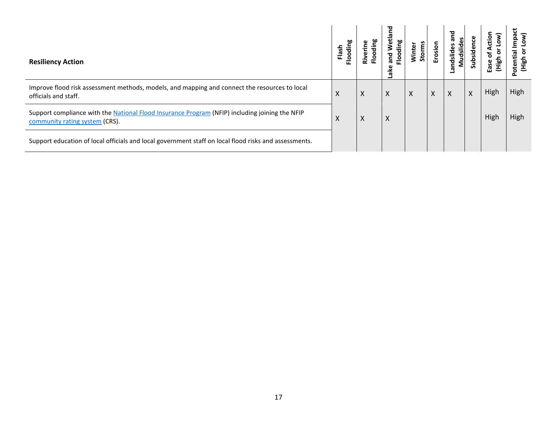| <b>Resiliency Action</b>                                                                                                         | ias<br>E | ïΖ | etland<br>ding<br>ត<br>ត<br>운<br>ake | č<br>Winter<br>$\mathfrak{so}$ | Erosion | 겯<br>စိ<br>œ<br>andslides<br>Mudslid | Φ<br><u>ăria</u><br>Sub | cit<br>۰<br>흩<br>S | mpa<br>흞<br>Нigh<br>₽<br>ō<br>௳ |
|----------------------------------------------------------------------------------------------------------------------------------|----------|----|--------------------------------------|--------------------------------|---------|--------------------------------------|-------------------------|--------------------|---------------------------------|
| Improve flood risk assessment methods, models, and mapping and connect the resources to local<br>officials and staff.            | X        | X  | X                                    | X                              | X       | $\mathsf{X}$                         | X                       | High               | High                            |
| Support compliance with the National Flood Insurance Program (NFIP) including joining the NFIP<br>community rating system (CRS). | v        | X  | X                                    |                                |         |                                      |                         | High               | High                            |
| Support education of local officials and local government staff on local flood risks and assessments.                            |          |    |                                      |                                |         |                                      |                         |                    |                                 |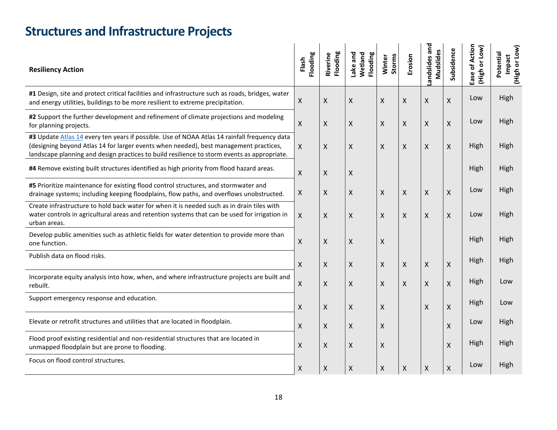| <b>Structures and Infrastructure Projects</b> |  |  |
|-----------------------------------------------|--|--|
|-----------------------------------------------|--|--|

| <b>Resiliency Action</b>                                                                                                                                                                                                                                                             | Flooding<br>Flash  | Flooding<br>Riverine | Wetland<br>Flooding<br>Lake and | Storms<br>Winter   | Erosion            | and<br>Mudslides<br>andslides | Subsidence | Ease of Action<br>(High or Low) | Potential<br>Impact<br>ŏ<br>(High |
|--------------------------------------------------------------------------------------------------------------------------------------------------------------------------------------------------------------------------------------------------------------------------------------|--------------------|----------------------|---------------------------------|--------------------|--------------------|-------------------------------|------------|---------------------------------|-----------------------------------|
| #1 Design, site and protect critical facilities and infrastructure such as roads, bridges, water<br>and energy utilities, buildings to be more resilient to extreme precipitation.                                                                                                   | X                  | Χ                    | $\pmb{\mathsf{X}}$              | $\pmb{\mathsf{X}}$ | Χ                  | $\pmb{\mathsf{X}}$            | X          | Low                             | High                              |
| #2 Support the further development and refinement of climate projections and modeling<br>for planning projects.                                                                                                                                                                      | X                  | Χ                    | $\pmb{\mathsf{X}}$              | X                  | Χ                  | X                             | X          | Low                             | High                              |
| #3 Update Atlas 14 every ten years if possible. Use of NOAA Atlas 14 rainfall frequency data<br>(designing beyond Atlas 14 for larger events when needed), best management practices,<br>landscape planning and design practices to build resilience to storm events as appropriate. | X                  | X                    | X                               | X                  | X                  | X                             | X          | High                            | High                              |
| #4 Remove existing built structures identified as high priority from flood hazard areas.                                                                                                                                                                                             | X                  | Χ                    | X                               |                    |                    |                               |            | High                            | High                              |
| #5 Prioritize maintenance for existing flood control structures, and stormwater and<br>drainage systems; including keeping floodplains, flow paths, and overflows unobstructed.                                                                                                      | X                  | Χ                    | X                               | $\pmb{\times}$     | $\mathsf{X}$       | $\pmb{\chi}$                  | X          | Low                             | High                              |
| Create infrastructure to hold back water for when it is needed such as in drain tiles with<br>water controls in agricultural areas and retention systems that can be used for irrigation in<br>urban areas.                                                                          | $\mathsf{X}$       | X                    | $\mathsf{X}$                    | $\pmb{\mathsf{X}}$ | X                  | $\mathsf{X}$                  | X          | Low                             | High                              |
| Develop public amenities such as athletic fields for water detention to provide more than<br>one function.                                                                                                                                                                           | X                  | Χ                    | X                               | X                  |                    |                               |            | High                            | High                              |
| Publish data on flood risks.                                                                                                                                                                                                                                                         | X                  | Χ                    | $\pmb{\mathsf{X}}$              | $\pmb{\times}$     | X                  | $\pmb{\mathsf{X}}$            | X          | High                            | High                              |
| Incorporate equity analysis into how, when, and where infrastructure projects are built and<br>rebuilt.                                                                                                                                                                              | X                  | X                    | X                               | Χ                  | X                  | X                             | Χ          | High                            | Low                               |
| Support emergency response and education.                                                                                                                                                                                                                                            | $\sf X$            | Χ                    | X                               | X                  |                    | X                             | Χ          | High                            | Low                               |
| Elevate or retrofit structures and utilities that are located in floodplain.                                                                                                                                                                                                         | X                  | Χ                    | $\pmb{\mathsf{X}}$              | Χ                  |                    |                               | Χ          | Low                             | High                              |
| Flood proof existing residential and non-residential structures that are located in<br>unmapped floodplain but are prone to flooding.                                                                                                                                                | X                  | X                    | X                               | Χ                  |                    |                               | Χ          | High                            | High                              |
| Focus on flood control structures.                                                                                                                                                                                                                                                   | $\pmb{\mathsf{X}}$ | Χ                    | $\boldsymbol{\mathsf{X}}$       | $\pmb{\mathsf{X}}$ | $\pmb{\mathsf{X}}$ | $\pmb{\mathsf{X}}$            | X          | Low                             | High                              |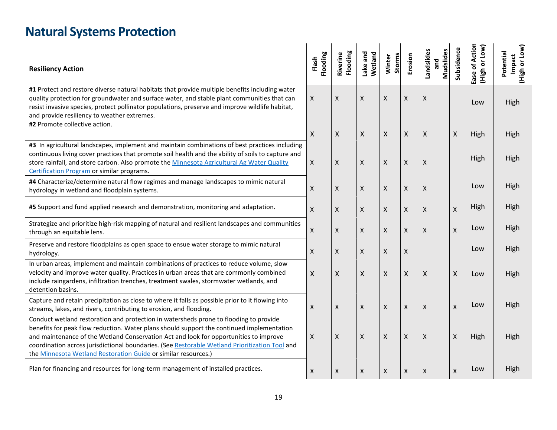# **Natural Systems Protection**

| <b>Resiliency Action</b>                                                                                                                                                                                                                                                                                                                                                                                                                        | Flooding<br>Flash | Flooding<br>Riverino | Lake and<br>Wetland | Winter<br><b>Storms</b> | Erosion  | Landslides<br><b>Mudslides</b><br>and | Subsidence | Action<br>(High or Low)<br>Ease of | (High or Low)<br>Potential<br>Impact |
|-------------------------------------------------------------------------------------------------------------------------------------------------------------------------------------------------------------------------------------------------------------------------------------------------------------------------------------------------------------------------------------------------------------------------------------------------|-------------------|----------------------|---------------------|-------------------------|----------|---------------------------------------|------------|------------------------------------|--------------------------------------|
| #1 Protect and restore diverse natural habitats that provide multiple benefits including water<br>quality protection for groundwater and surface water, and stable plant communities that can<br>resist invasive species, protect pollinator populations, preserve and improve wildlife habitat,<br>and provide resiliency to weather extremes.                                                                                                 | $\mathsf X$       | X                    | Χ                   | Χ                       | Χ        | X                                     |            | Low                                | High                                 |
| #2 Promote collective action.                                                                                                                                                                                                                                                                                                                                                                                                                   | X                 | X                    | X                   | X                       | X        | X                                     | X          | High                               | High                                 |
| #3 In agricultural landscapes, implement and maintain combinations of best practices including<br>continuous living cover practices that promote soil health and the ability of soils to capture and<br>store rainfall, and store carbon. Also promote the Minnesota Agricultural Ag Water Quality<br>Certification Program or similar programs.                                                                                                | X                 | X                    | Χ                   | X                       | $\times$ | X                                     |            | High                               | High                                 |
| #4 Characterize/determine natural flow regimes and manage landscapes to mimic natural<br>hydrology in wetland and floodplain systems.                                                                                                                                                                                                                                                                                                           | X                 | X                    | X                   | X                       | X        | X                                     |            | Low                                | High                                 |
| #5 Support and fund applied research and demonstration, monitoring and adaptation.                                                                                                                                                                                                                                                                                                                                                              | X                 | X                    | X                   | $\mathsf{X}$            | X        | X                                     | X          | High                               | High                                 |
| Strategize and prioritize high-risk mapping of natural and resilient landscapes and communities<br>through an equitable lens.                                                                                                                                                                                                                                                                                                                   | X                 | X                    | Χ                   | X                       | X        | X                                     | X          | Low                                | High                                 |
| Preserve and restore floodplains as open space to ensue water storage to mimic natural<br>hydrology.                                                                                                                                                                                                                                                                                                                                            | X                 | X                    | X                   | X                       | X        |                                       |            | Low                                | High                                 |
| In urban areas, implement and maintain combinations of practices to reduce volume, slow<br>velocity and improve water quality. Practices in urban areas that are commonly combined<br>include raingardens, infiltration trenches, treatment swales, stormwater wetlands, and<br>detention basins.                                                                                                                                               | X                 | Χ                    | X                   | X                       | X        | X                                     | X          | Low                                | High                                 |
| Capture and retain precipitation as close to where it falls as possible prior to it flowing into<br>streams, lakes, and rivers, contributing to erosion, and flooding.                                                                                                                                                                                                                                                                          | X                 | X                    | Χ                   | $\mathsf{X}$            | $\times$ | $\mathsf{x}$                          | X          | Low                                | High                                 |
| Conduct wetland restoration and protection in watersheds prone to flooding to provide<br>benefits for peak flow reduction. Water plans should support the continued implementation<br>and maintenance of the Wetland Conservation Act and look for opportunities to improve<br>coordination across jurisdictional boundaries. (See Restorable Wetland Prioritization Tool and<br>the Minnesota Wetland Restoration Guide or similar resources.) | X                 | X                    | X                   | X                       | X        | X                                     | X          | High                               | High                                 |
| Plan for financing and resources for long-term management of installed practices.                                                                                                                                                                                                                                                                                                                                                               | X                 | X                    | X                   | X                       | $\times$ | X                                     | X          | Low                                | High                                 |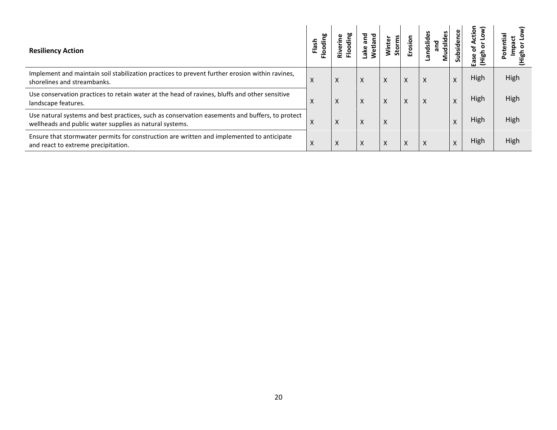| <b>Resiliency Action</b>                                                                                                                                  | 60<br><u>as</u><br>ರ | $\tilde{\bar{\mathbf{e}}}$<br>ŕ | ā<br>tlan<br>$\overline{\mathbf{a}}$ | <b>Storms</b> | Erosion | andslides<br>udsli<br>and | Subsidence | ><br>ctio<br>ഇ.<br>Ease | e.   |
|-----------------------------------------------------------------------------------------------------------------------------------------------------------|----------------------|---------------------------------|--------------------------------------|---------------|---------|---------------------------|------------|-------------------------|------|
| Implement and maintain soil stabilization practices to prevent further erosion within ravines,<br>shorelines and streambanks.                             | X                    | X                               | x                                    | X             | X       | X                         | $\lambda$  | High                    | High |
| Use conservation practices to retain water at the head of ravines, bluffs and other sensitive<br>landscape features.                                      | X                    | X                               | X                                    | X             | X       | X                         | $\lambda$  | High                    | High |
| Use natural systems and best practices, such as conservation easements and buffers, to protect<br>wellheads and public water supplies as natural systems. | $\lambda$            | X                               | X                                    | X             |         |                           |            | High                    | High |
| Ensure that stormwater permits for construction are written and implemented to anticipate<br>and react to extreme precipitation.                          | $\lambda$            | X                               | x                                    | X             | Χ       | $\lambda$                 |            | High                    | High |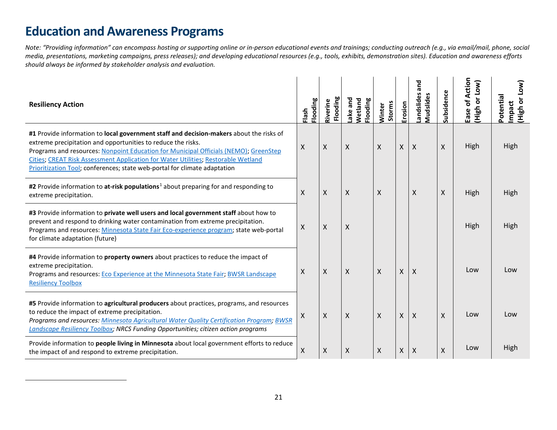# <span id="page-20-0"></span>**Education and Awareness Programs**

 $\overline{\phantom{a}}$ 

*Note: "Providing information" can encompass hosting or supporting online or in-person educational events and trainings; conducting outreach (e.g., via email/mail, phone, social media, presentations, marketing campaigns, press releases); and developing educational resources (e.g., tools, exhibits, demonstration sites). Education and awareness efforts should always be informed by stakeholder analysis and evaluation.*

| <b>Resiliency Action</b>                                                                                                                                                                                                                                                                                                                                                                                          | Flooding<br>Flash  | Flooding<br>Riverine      | ake and<br>Wetland<br>Flooding | Storms<br>Winter | Erosion            | and<br>andslides<br>S<br>Mudslides | Subsidence | of Action<br>(MOT<br>$\overline{\bullet}$<br><b>High</b><br>Ease | [NOT<br>Potential<br>(High or I<br>Impact |
|-------------------------------------------------------------------------------------------------------------------------------------------------------------------------------------------------------------------------------------------------------------------------------------------------------------------------------------------------------------------------------------------------------------------|--------------------|---------------------------|--------------------------------|------------------|--------------------|------------------------------------|------------|------------------------------------------------------------------|-------------------------------------------|
| #1 Provide information to local government staff and decision-makers about the risks of<br>extreme precipitation and opportunities to reduce the risks.<br>Programs and resources: Nonpoint Education for Municipal Officials (NEMO); GreenStep<br>Cities; CREAT Risk Assessment Application for Water Utilities; Restorable Wetland<br>Prioritization Tool; conferences; state web-portal for climate adaptation | $\pmb{\mathsf{X}}$ | $\boldsymbol{\mathsf{X}}$ | X                              | X                | X                  | X                                  | X          | High                                                             | High                                      |
| #2 Provide information to at-risk populations <sup>1</sup> about preparing for and responding to<br>extreme precipitation.                                                                                                                                                                                                                                                                                        | X                  | X                         | X                              | X                |                    | X                                  | X          | High                                                             | High                                      |
| #3 Provide information to private well users and local government staff about how to<br>prevent and respond to drinking water contamination from extreme precipitation.<br>Programs and resources: Minnesota State Fair Eco-experience program; state web-portal<br>for climate adaptation (future)                                                                                                               | X                  | X                         | X                              |                  |                    |                                    |            | High                                                             | High                                      |
| #4 Provide information to property owners about practices to reduce the impact of<br>extreme precipitation.<br>Programs and resources: Eco Experience at the Minnesota State Fair; BWSR Landscape<br><b>Resiliency Toolbox</b>                                                                                                                                                                                    | X                  | X                         | Χ                              | X                | X                  | X                                  |            | Low                                                              | Low                                       |
| #5 Provide information to agricultural producers about practices, programs, and resources<br>to reduce the impact of extreme precipitation.<br>Programs and resources: Minnesota Agricultural Water Quality Certification Program; BWSR<br>Landscape Resiliency Toolbox; NRCS Funding Opportunities; citizen action programs                                                                                      | $\mathsf{X}$       | $\mathsf{X}$              | Χ                              | X                | $\pmb{\mathsf{X}}$ | X                                  | X          | Low                                                              | Low                                       |
| Provide information to people living in Minnesota about local government efforts to reduce<br>the impact of and respond to extreme precipitation.                                                                                                                                                                                                                                                                 | X                  | Χ                         | X                              | X                | X                  | X                                  | X          | Low                                                              | High                                      |